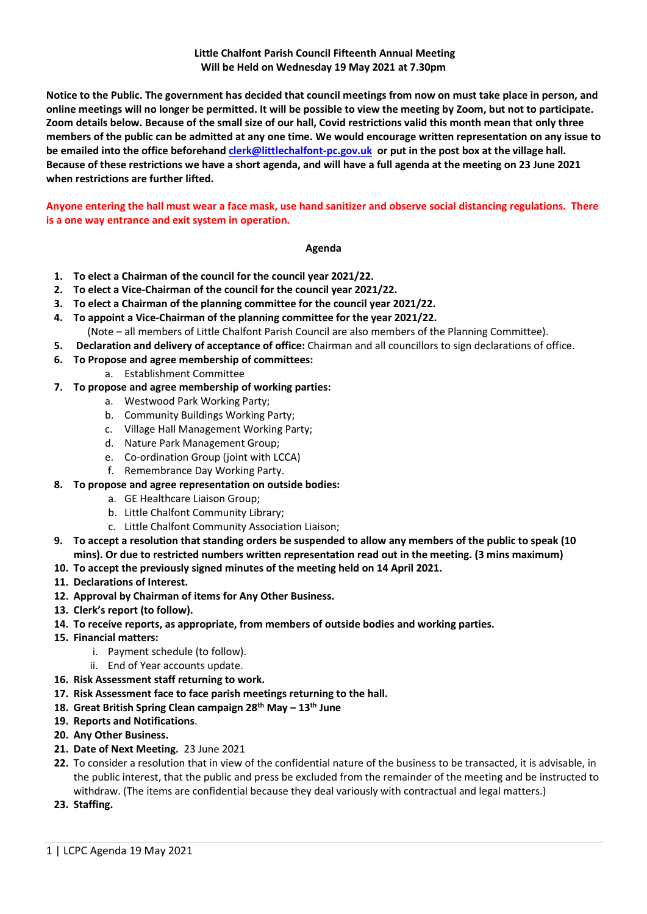## **Little Chalfont Parish Council Fifteenth Annual Meeting Will be Held on Wednesday 19 May 2021 at 7.30pm**

**Notice to the Public. The government has decided that council meetings from now on must take place in person, and online meetings will no longer be permitted. It will be possible to view the meeting by Zoom, but not to participate. Zoom details below. Because of the small size of our hall, Covid restrictions valid this month mean that only three members of the public can be admitted at any one time. We would encourage written representation on any issue to be emailed into the office beforehan[d clerk@littlechalfont-pc.gov.uk](mailto:clerk@littlechalfont-pc.gov.uk) or put in the post box at the village hall. Because of these restrictions we have a short agenda, and will have a full agenda at the meeting on 23 June 2021 when restrictions are further lifted.** 

**Anyone entering the hall must wear a face mask, use hand sanitizer and observe social distancing regulations. There is a one way entrance and exit system in operation.**

## **Agenda**

- **1. To elect a Chairman of the council for the council year 2021/22.**
- **2. To elect a Vice-Chairman of the council for the council year 2021/22.**
- **3. To elect a Chairman of the planning committee for the council year 2021/22.**
- **4. To appoint a Vice-Chairman of the planning committee for the year 2021/22.** (Note – all members of Little Chalfont Parish Council are also members of the Planning Committee).
- **5. Declaration and delivery of acceptance of office:** Chairman and all councillors to sign declarations of office.
- **6. To Propose and agree membership of committees:**
	- a. Establishment Committee
- **7. To propose and agree membership of working parties:**
	- a. Westwood Park Working Party;
	- b. Community Buildings Working Party;
	- c. Village Hall Management Working Party;
	- d. Nature Park Management Group;
	- e. Co-ordination Group (joint with LCCA)
	- f. Remembrance Day Working Party.
- **8. To propose and agree representation on outside bodies:**
	- a. GE Healthcare Liaison Group;
	- b. Little Chalfont Community Library;
	- c. Little Chalfont Community Association Liaison;
- **9. To accept a resolution that standing orders be suspended to allow any members of the public to speak (10 mins). Or due to restricted numbers written representation read out in the meeting. (3 mins maximum)**
- **10. To accept the previously signed minutes of the meeting held on 14 April 2021.**
- **11. Declarations of Interest.**
- **12. Approval by Chairman of items for Any Other Business.**
- **13. Clerk's report (to follow).**
- **14. To receive reports, as appropriate, from members of outside bodies and working parties.**
- **15. Financial matters:** 
	- i. Payment schedule (to follow).
	- ii. End of Year accounts update.
- **16. Risk Assessment staff returning to work.**
- **17. Risk Assessment face to face parish meetings returning to the hall.**
- **18. Great British Spring Clean campaign 28th May – 13th June**
- **19. Reports and Notifications**.
- **20. Any Other Business.**
- **21. Date of Next Meeting.** 23 June 2021
- **22.** To consider a resolution that in view of the confidential nature of the business to be transacted, it is advisable, in the public interest, that the public and press be excluded from the remainder of the meeting and be instructed to withdraw. (The items are confidential because they deal variously with contractual and legal matters.)
- **23. Staffing.**